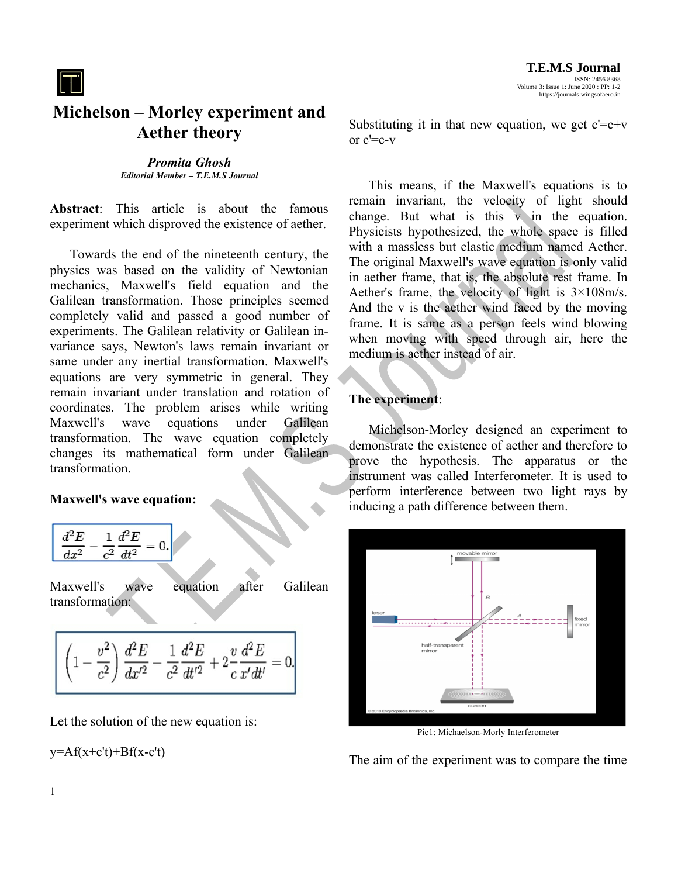

## **Michelson – Morley experiment and Aether theory**

*Promita Ghosh Editorial Member – T.E.M.S Journal*

**Abstract**: This article is about the famous experiment which disproved the existence of aether.

Towards the end of the nineteenth century, the physics was based on the validity of Newtonian mechanics, Maxwell's field equation and the Galilean transformation. Those principles seemed completely valid and passed a good number of experiments. The Galilean relativity or Galilean invariance says, Newton's laws remain invariant or same under any inertial transformation. Maxwell's equations are very symmetric in general. They remain invariant under translation and rotation of coordinates. The problem arises while writing Maxwell's wave equations under Galilean transformation. The wave equation completely changes its mathematical form under Galilean transformation.

## **Maxwell's wave equation:**

$$
\boxed{\frac{d^2E}{dx^2}-\frac{1}{c^2}\frac{d^2E}{dt^2}=0.}
$$

Maxwell's wave equation after Galilean transformation:

$$
\boxed{\left(1-\frac{v^2}{c^2}\right)\frac{d^2E}{dx'^2}-\frac{1}{c^2}\frac{d^2E}{dt'^2}+2\frac{v}{c}\frac{d^2E}{x'dt'}=0.}
$$

Let the solution of the new equation is:

 $y=Af(x+c't)+Bf(x-c't)$ 

Substituting it in that new equation, we get  $c' = c+v$ or  $c' = c-v$ 

This means, if the Maxwell's equations is to remain invariant, the velocity of light should change. But what is this v in the equation. Physicists hypothesized, the whole space is filled with a massless but elastic medium named Aether. The original Maxwell's wave equation is only valid in aether frame, that is, the absolute rest frame. In Aether's frame, the velocity of light is 3×108m/s. And the v is the aether wind faced by the moving frame. It is same as a person feels wind blowing when moving with speed through air, here the medium is aether instead of air.

## **The experiment**:

Michelson-Morley designed an experiment to demonstrate the existence of aether and therefore to prove the hypothesis. The apparatus or the instrument was called Interferometer. It is used to perform interference between two light rays by inducing a path difference between them.



Pic1: Michaelson-Morly Interferometer

The aim of the experiment was to compare the time